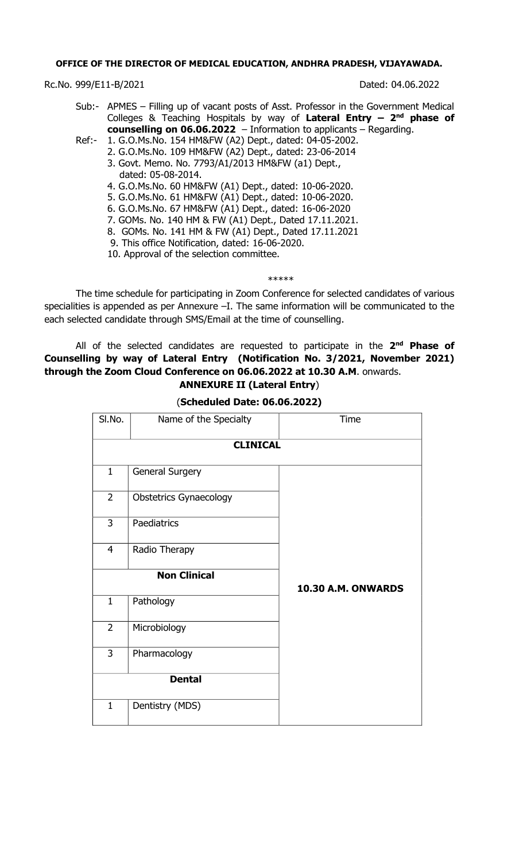### **OFFICE OF THE DIRECTOR OF MEDICAL EDUCATION, ANDHRA PRADESH, VIJAYAWADA.**

Rc.No. 999/E11-B/2021 Dated: 04.06.2022

- Sub:- APMES Filling up of vacant posts of Asst. Professor in the Government Medical Colleges & Teaching Hospitals by way of **Lateral Entry – 2 nd phase of counselling on 06.06.2022** – Information to applicants – Regarding.
- Ref:- 1. G.O.Ms.No. 154 HM&FW (A2) Dept., dated: 04-05-2002.
	- 2. G.O.Ms.No. 109 HM&FW (A2) Dept., dated: 23-06-2014
		- 3. Govt. Memo. No. 7793/A1/2013 HM&FW (a1) Dept., dated: 05-08-2014.
		- 4. G.O.Ms.No. 60 HM&FW (A1) Dept., dated: 10-06-2020.
		- 5. G.O.Ms.No. 61 HM&FW (A1) Dept., dated: 10-06-2020.
		- 6. G.O.Ms.No. 67 HM&FW (A1) Dept., dated: 16-06-2020
		- 7. GOMs. No. 140 HM & FW (A1) Dept., Dated 17.11.2021.
		- 8. GOMs. No. 141 HM & FW (A1) Dept., Dated 17.11.2021
		- 9. This office Notification, dated: 16-06-2020.
		- 10. Approval of the selection committee.

#### \*\*\*\*\*

The time schedule for participating in Zoom Conference for selected candidates of various specialities is appended as per Annexure -I. The same information will be communicated to the each selected candidate through SMS/Email at the time of counselling.

### All of the selected candidates are requested to participate in the **2 nd Phase of Counselling by way of Lateral Entry (Notification No. 3/2021, November 2021) through the Zoom Cloud Conference on 06.06.2022 at 10.30 A.M**. onwards. **ANNEXURE II (Lateral Entry**)

| SI.No.          | Name of the Specialty         | Time               |  |  |  |  |  |  |  |  |  |  |
|-----------------|-------------------------------|--------------------|--|--|--|--|--|--|--|--|--|--|
| <b>CLINICAL</b> |                               |                    |  |  |  |  |  |  |  |  |  |  |
| $\mathbf{1}$    | General Surgery               |                    |  |  |  |  |  |  |  |  |  |  |
| $\overline{2}$  | <b>Obstetrics Gynaecology</b> |                    |  |  |  |  |  |  |  |  |  |  |
| 3               | Paediatrics                   |                    |  |  |  |  |  |  |  |  |  |  |
| 4               | Radio Therapy                 |                    |  |  |  |  |  |  |  |  |  |  |
|                 | <b>Non Clinical</b>           | 10.30 A.M. ONWARDS |  |  |  |  |  |  |  |  |  |  |
| $\mathbf{1}$    | Pathology                     |                    |  |  |  |  |  |  |  |  |  |  |
| $\overline{2}$  | Microbiology                  |                    |  |  |  |  |  |  |  |  |  |  |
| 3               | Pharmacology                  |                    |  |  |  |  |  |  |  |  |  |  |
|                 | <b>Dental</b>                 |                    |  |  |  |  |  |  |  |  |  |  |
| $\mathbf{1}$    | Dentistry (MDS)               |                    |  |  |  |  |  |  |  |  |  |  |

(**Scheduled Date: 06.06.2022)**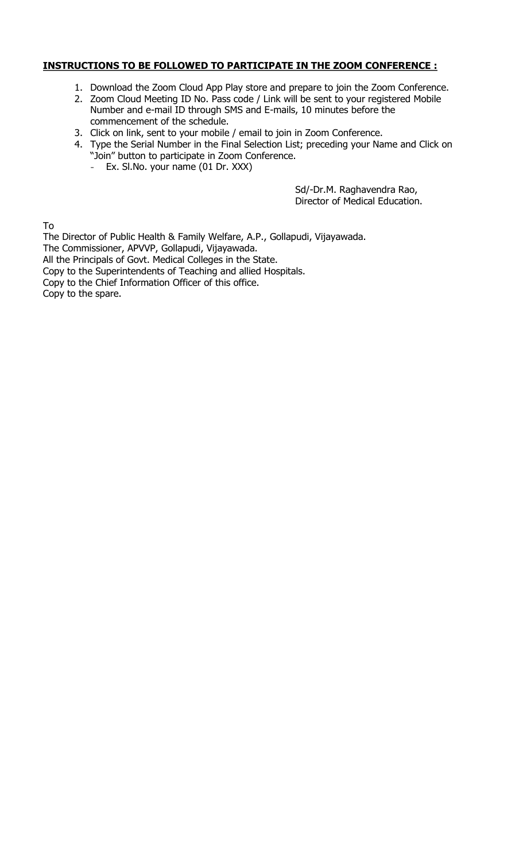### **INSTRUCTIONS TO BE FOLLOWED TO PARTICIPATE IN THE ZOOM CONFERENCE :**

- 1. Download the Zoom Cloud App Play store and prepare to join the Zoom Conference.
- 2. Zoom Cloud Meeting ID No. Pass code / Link will be sent to your registered Mobile Number and e-mail ID through SMS and E-mails, 10 minutes before the commencement of the schedule.
- 3. Click on link, sent to your mobile / email to join in Zoom Conference.
- 4. Type the Serial Number in the Final Selection List; preceding your Name and Click on "Join" button to participate in Zoom Conference.
	- Ex. Sl.No. your name (01 Dr. XXX)

Sd/-Dr.M. Raghavendra Rao, Director of Medical Education.

To

The Director of Public Health & Family Welfare, A.P., Gollapudi, Vijayawada.

The Commissioner, APVVP, Gollapudi, Vijayawada.

All the Principals of Govt. Medical Colleges in the State.

Copy to the Superintendents of Teaching and allied Hospitals.

Copy to the Chief Information Officer of this office.

Copy to the spare.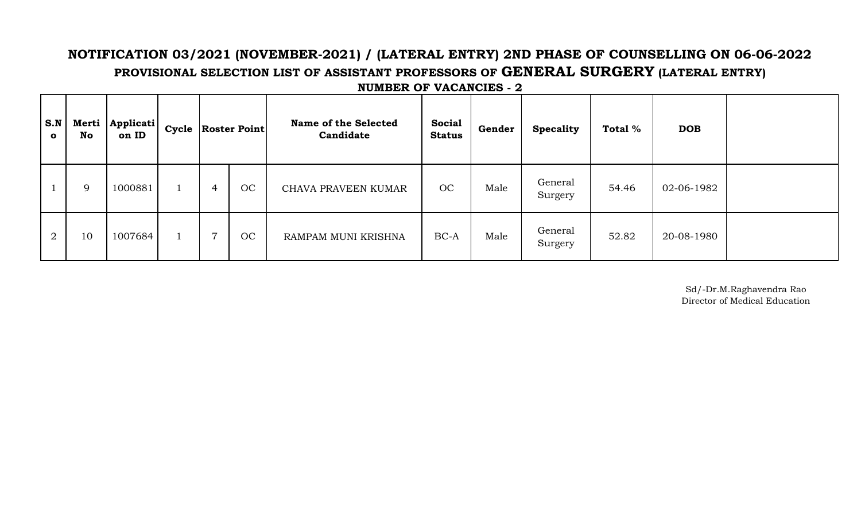# **NOTIFICATION 03/2021 (NOVEMBER-2021) / (LATERAL ENTRY) 2ND PHASE OF COUNSELLING ON 06-06-2022 PROVISIONAL SELECTION LIST OF ASSISTANT PROFESSORS OF GENERAL SURGERY (LATERAL ENTRY)**

| S.N<br>$\mathbf{o}$ | Merti<br>No | Applicati<br>on ID |                | Cycle   Roster Point | <b>Name of the Selected</b><br>Candidate | <b>Social</b><br><b>Status</b> | Gender | <b>Specality</b>   | Total % | <b>DOB</b> |  |
|---------------------|-------------|--------------------|----------------|----------------------|------------------------------------------|--------------------------------|--------|--------------------|---------|------------|--|
|                     | 9           | 1000881            | 4              | OC                   | CHAVA PRAVEEN KUMAR                      | OC                             | Male   | General<br>Surgery | 54.46   | 02-06-1982 |  |
| $\overline{2}$      | 10          | 1007684            | $\overline{7}$ | OC                   | <b>RAMPAM MUNI KRISHNA</b>               | $BC-A$                         | Male   | General<br>Surgery | 52.82   | 20-08-1980 |  |

**NUMBER OF VACANCIES - 2**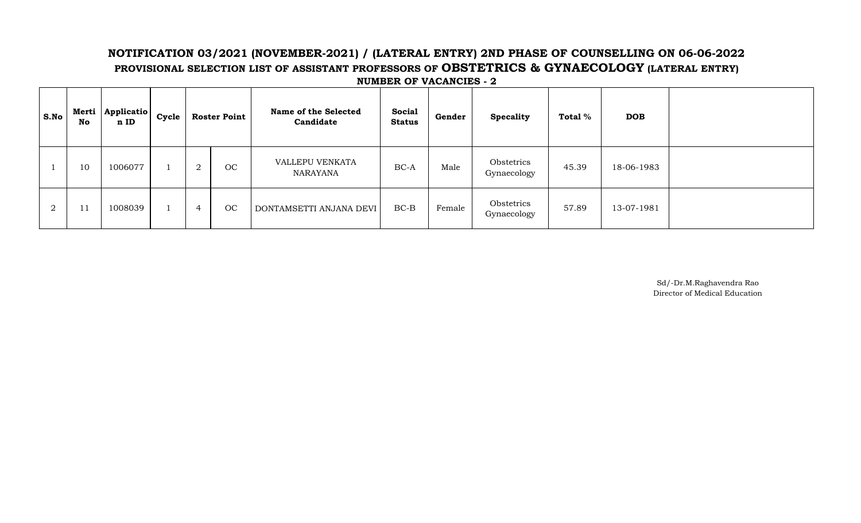## **NOTIFICATION 03/2021 (NOVEMBER-2021) / (LATERAL ENTRY) 2ND PHASE OF COUNSELLING ON 06-06-2022 PROVISIONAL SELECTION LIST OF ASSISTANT PROFESSORS OF OBSTETRICS & GYNAECOLOGY (LATERAL ENTRY) NUMBER OF VACANCIES - 2**

| S.No           | Merti<br>No | <b>Applicatio</b><br>n ID | Cycle |        | <b>Roster Point</b> | Name of the Selected<br>Candidate  | <b>Social</b><br><b>Status</b> | Gender | <b>Specality</b>          | Total % | <b>DOB</b> |  |
|----------------|-------------|---------------------------|-------|--------|---------------------|------------------------------------|--------------------------------|--------|---------------------------|---------|------------|--|
|                | 10          | 1006077                   |       | ∩<br>∠ | OC                  | VALLEPU VENKATA<br><b>NARAYANA</b> | $BC-A$                         | Male   | Obstetrics<br>Gynaecology | 45.39   | 18-06-1983 |  |
| $\overline{2}$ | 11          | 1008039                   |       | 4      | OC                  | DONTAMSETTI ANJANA DEVI            | $BC-B$                         | Female | Obstetrics<br>Gynaecology | 57.89   | 13-07-1981 |  |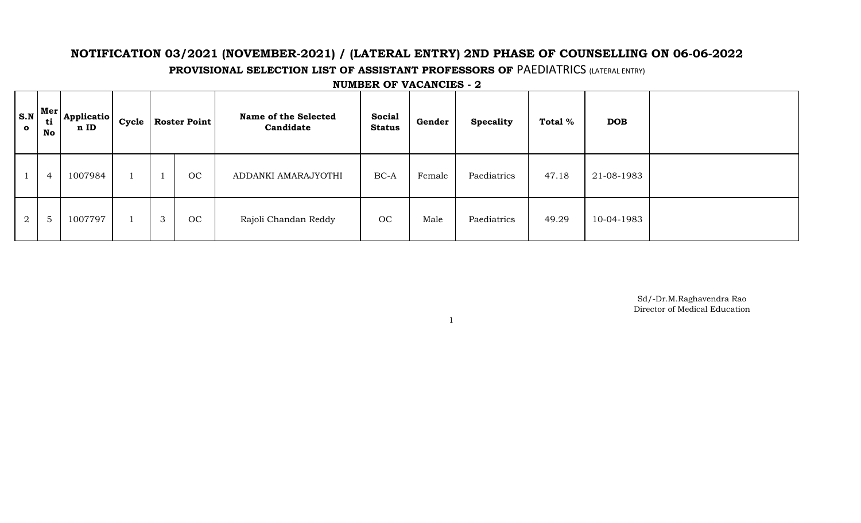# **NOTIFICATION 03/2021 (NOVEMBER-2021) / (LATERAL ENTRY) 2ND PHASE OF COUNSELLING ON 06-06-2022**

**PROVISIONAL SELECTION LIST OF ASSISTANT PROFESSORS OF PAEDIATRICS (LATERAL ENTRY)** 

| $\bullet$ | $S.N$ Mer<br>ti<br>No | <b>Applicatio</b><br>n ID | Cycle | <b>Roster Point</b> |    | Name of the Selected<br>Candidate | <b>Social</b><br><b>Status</b> | Gender | <b>Specality</b> | Total % | <b>DOB</b> |  |
|-----------|-----------------------|---------------------------|-------|---------------------|----|-----------------------------------|--------------------------------|--------|------------------|---------|------------|--|
|           | 4                     | 1007984                   |       |                     | OC | ADDANKI AMARAJYOTHI               | BC-A                           | Female | Paediatrics      | 47.18   | 21-08-1983 |  |
| 2         | $5\overline{)}$       | 1007797                   |       | 3                   | OC | Rajoli Chandan Reddy              | OC                             | Male   | Paediatrics      | 49.29   | 10-04-1983 |  |

1

**NUMBER OF VACANCIES - 2**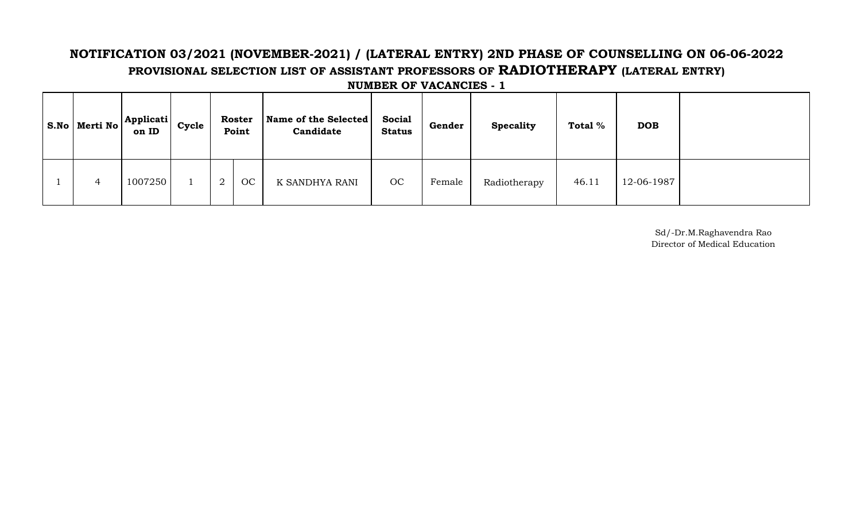# **NOTIFICATION 03/2021 (NOVEMBER-2021) / (LATERAL ENTRY) 2ND PHASE OF COUNSELLING ON 06-06-2022 PROVISIONAL SELECTION LIST OF ASSISTANT PROFESSORS OF RADIOTHERAPY (LATERAL ENTRY)**

|   | ' S.No   Merti No $\left  \frac{\text{Application of }N}{\text{Definition of }N}\right $<br>on ID | Cycle |                | <b>Roster</b><br>Point | Name of the Selected<br>Candidate | <b>Social</b><br><b>Status</b> | Gender | <b>Specality</b> | Total % | <b>DOB</b> |  |
|---|---------------------------------------------------------------------------------------------------|-------|----------------|------------------------|-----------------------------------|--------------------------------|--------|------------------|---------|------------|--|
| 4 | 1007250                                                                                           |       | $\overline{2}$ | OC                     | K SANDHYA RANI                    | OC                             | Female | Radiotherapy     | 46.11   | 12-06-1987 |  |

**NUMBER OF VACANCIES - 1**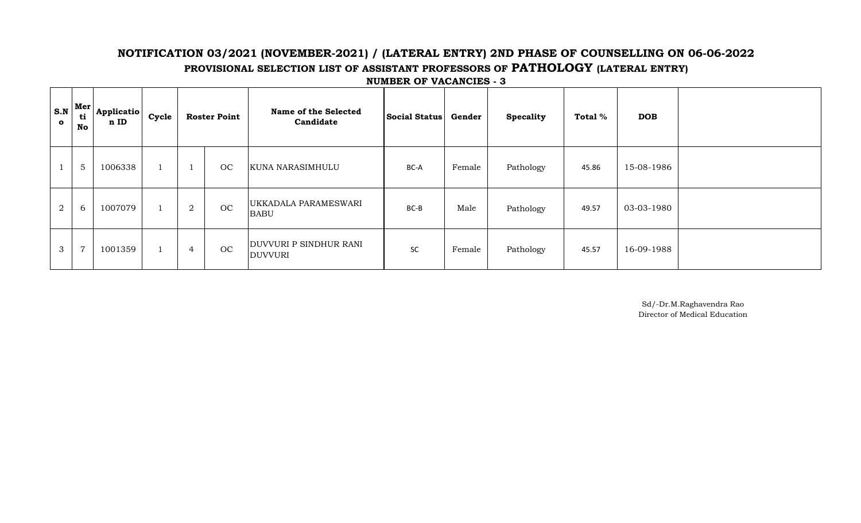## **NOTIFICATION 03/2021 (NOVEMBER-2021) / (LATERAL ENTRY) 2ND PHASE OF COUNSELLING ON 06-06-2022 PROVISIONAL SELECTION LIST OF ASSISTANT PROFESSORS OF PATHOLOGY (LATERAL ENTRY) NUMBER OF VACANCIES - 3**

| S.N<br>$\bullet$ | Mer<br>ti<br>No | <b>Applicatio</b><br>n ID | Cycle |                | <b>Roster Point</b> | <b>Name of the Selected</b><br>Candidate        | <b>Social Status</b> | Gender | <b>Specality</b> | Total % | <b>DOB</b> |  |
|------------------|-----------------|---------------------------|-------|----------------|---------------------|-------------------------------------------------|----------------------|--------|------------------|---------|------------|--|
|                  | 5               | 1006338                   |       |                | OC                  | <b>KUNA NARASIMHULU</b>                         | BC-A                 | Female | Pathology        | 45.86   | 15-08-1986 |  |
| $\overline{a}$   | 6               | 1007079                   |       | $\overline{2}$ | OC                  | UKKADALA PARAMESWARI<br><b>BABU</b>             | $BC-B$               | Male   | Pathology        | 49.57   | 03-03-1980 |  |
| 3                | $\overline{7}$  | 1001359                   |       | 4              | OC                  | <b>DUVVURI P SINDHUR RANI</b><br><b>DUVVURI</b> | SC                   | Female | Pathology        | 45.57   | 16-09-1988 |  |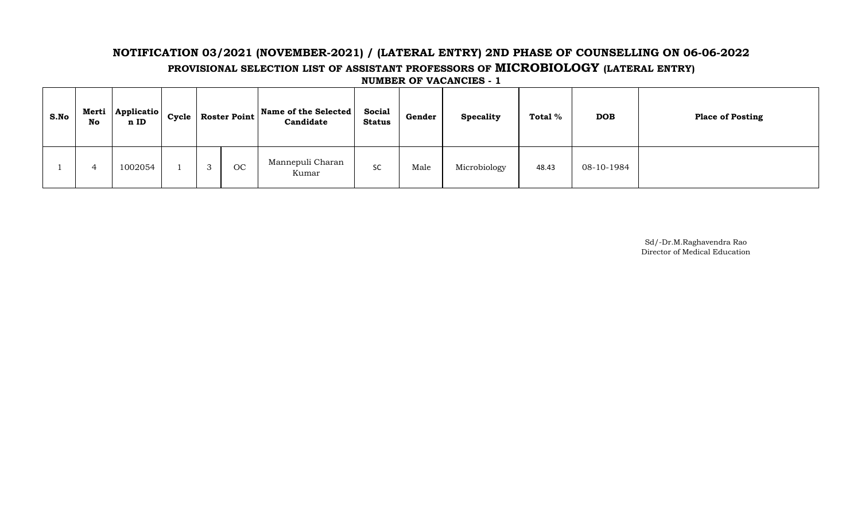# **NOTIFICATION 03/2021 (NOVEMBER-2021) / (LATERAL ENTRY) 2ND PHASE OF COUNSELLING ON 06-06-2022 PROVISIONAL SELECTION LIST OF ASSISTANT PROFESSORS OF MICROBIOLOGY (LATERAL ENTRY)**

**NUMBER OF VACANCIES - 1**

| S.No | Merti<br>No | Applicatio<br>n ID | Cycle |           | $\sim$ Roster Point Name of the Selected $\sim$<br>Candidate | <b>Social</b><br>Status | Gender | <b>Specality</b> | Total % | <b>DOB</b> | <b>Place of Posting</b> |
|------|-------------|--------------------|-------|-----------|--------------------------------------------------------------|-------------------------|--------|------------------|---------|------------|-------------------------|
|      |             | 1002054            |       | <b>OC</b> | Mannepuli Charan<br>Kumar                                    | SC                      | Male   | Microbiology     | 48.43   | 08-10-1984 |                         |

Director of Medical Education Sd/-Dr.M.Raghavendra Rao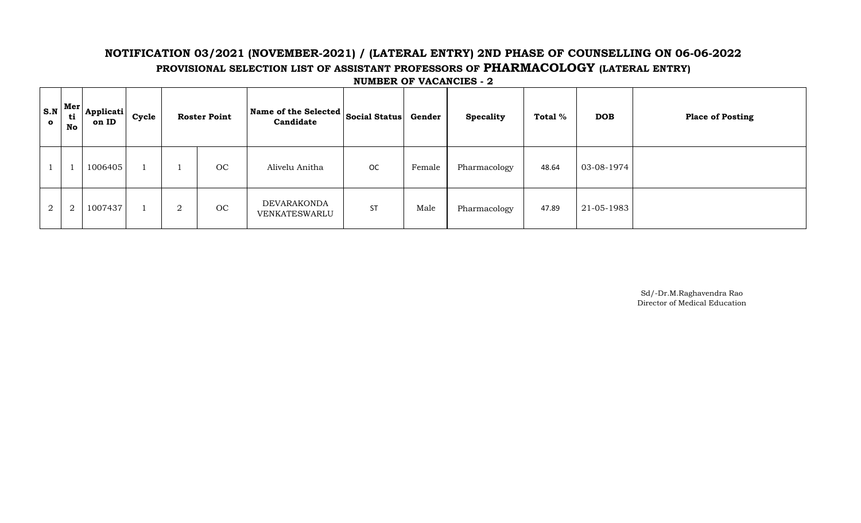## **NOTIFICATION 03/2021 (NOVEMBER-2021) / (LATERAL ENTRY) 2ND PHASE OF COUNSELLING ON 06-06-2022 PROVISIONAL SELECTION LIST OF ASSISTANT PROFESSORS OF PHARMACOLOGY (LATERAL ENTRY) NUMBER OF VACANCIES - 2**

| $\mathbf{o}$   | $S.N$ Mer<br>ti<br>No | Applicati<br>on ID | Cycle |                | <b>Roster Point</b> | Name of the Selected $ $ Social Status $ $<br>Candidate |           | Gender | <b>Specality</b> | Total % | <b>DOB</b> | <b>Place of Posting</b> |
|----------------|-----------------------|--------------------|-------|----------------|---------------------|---------------------------------------------------------|-----------|--------|------------------|---------|------------|-------------------------|
|                |                       | 1006405            |       |                | OC                  | Alivelu Anitha                                          | <b>OC</b> | Female | Pharmacology     | 48.64   | 03-08-1974 |                         |
| $\overline{2}$ | 2                     | 1007437            |       | $\overline{2}$ | OC                  | DEVARAKONDA<br>VENKATESWARLU                            | <b>ST</b> | Male   | Pharmacology     | 47.89   | 21-05-1983 |                         |

Director of Medical Education Sd/-Dr.M.Raghavendra Rao